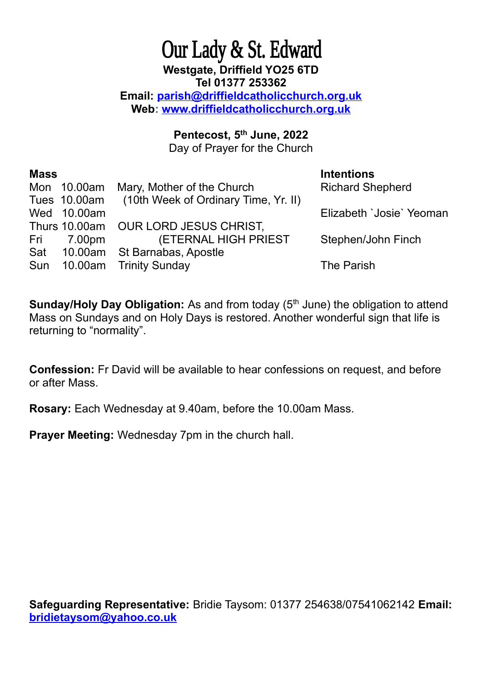## Our Lady & St. Edward **Westgate, Driffield YO25 6TD Tel 01377 253362 Email: [parish@driffieldcatholicchurch.org.uk](mailto:parish@driffieldcatholicchurch.org.uk) Web: [www.driffieldcatholicchurch.org.uk](http://www.driffieldcatholicchurch.org.uk/)**

## **Pentecost, 5th June, 2022**

Day of Prayer for the Church

| <b>Mass</b> |             |                                                   | <b>Intentions</b>        |
|-------------|-------------|---------------------------------------------------|--------------------------|
|             | Mon 10.00am | Mary, Mother of the Church                        | <b>Richard Shepherd</b>  |
|             |             | Tues 10.00am (10th Week of Ordinary Time, Yr. II) |                          |
|             | Wed 10.00am |                                                   | Elizabeth 'Josie' Yeoman |
|             |             | Thurs 10.00am OUR LORD JESUS CHRIST.              |                          |
|             | Fri 7.00pm  | <b>(ETERNAL HIGH PRIEST)</b>                      | Stephen/John Finch       |
|             |             | Sat 10.00am St Barnabas, Apostle                  |                          |
|             |             | Sun 10.00am Trinity Sunday                        | The Parish               |

**Sunday/Holy Day Obligation:** As and from today (5<sup>th</sup> June) the obligation to attend Mass on Sundays and on Holy Days is restored. Another wonderful sign that life is returning to "normality".

**Confession:** Fr David will be available to hear confessions on request, and before or after Mass.

**Rosary:** Each Wednesday at 9.40am, before the 10.00am Mass.

**Prayer Meeting:** Wednesday 7pm in the church hall.